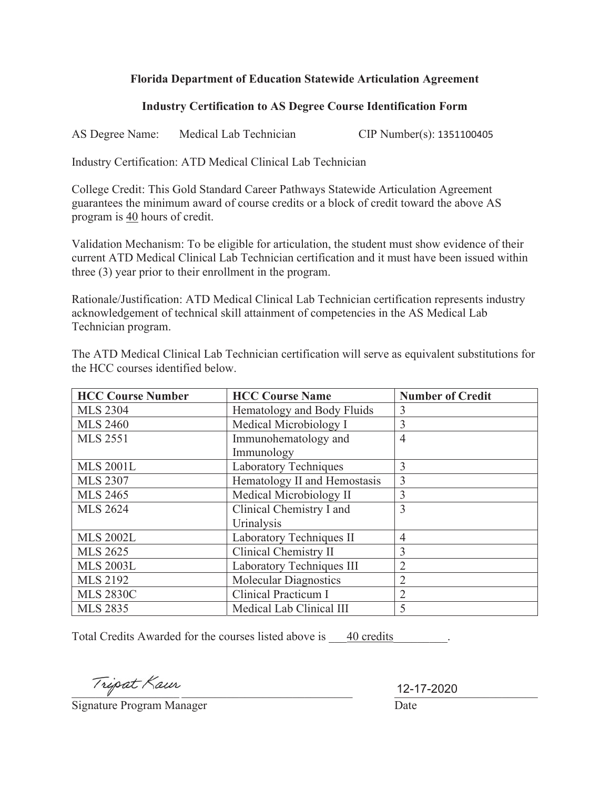## **Florida Department of Education Statewide Articulation Agreement**

## **Industry Certification to AS Degree Course Identification Form**

Medical Lab Technician AS Degree Name: Medical Lab Technician CIP Number(s): 1351100405

Industry Certification: ATD Medical Clinical Lab Technician

College Credit: This Gold Standard Career Pathways Statewide Articulation Agreement guarantees the minimum award of course credits or a block of credit toward the above AS program is 40 hours of credit.

 three (3) year prior to their enrollment in the program. Validation Mechanism: To be eligible for articulation, the student must show evidence of their current ATD Medical Clinical Lab Technician certification and it must have been issued within

Rationale/Justification: ATD Medical Clinical Lab Technician certification represents industry acknowledgement of technical skill attainment of competencies in the AS Medical Lab Technician program.

| <b>HCC Course Number</b> | <b>HCC Course Name</b>       | <b>Number of Credit</b> |
|--------------------------|------------------------------|-------------------------|
| <b>MLS 2304</b>          | Hematology and Body Fluids   | 3                       |
| <b>MLS 2460</b>          | Medical Microbiology I       | 3                       |
| <b>MLS 2551</b>          | Immunohematology and         | 4                       |
|                          | Immunology                   |                         |
| <b>MLS 2001L</b>         | <b>Laboratory Techniques</b> | 3                       |
| <b>MLS 2307</b>          | Hematology II and Hemostasis | 3                       |
| <b>MLS 2465</b>          | Medical Microbiology II      | 3                       |
| <b>MLS 2624</b>          | Clinical Chemistry I and     | 3                       |
|                          | Urinalysis                   |                         |
| <b>MLS 2002L</b>         | Laboratory Techniques II     | $\overline{4}$          |
| <b>MLS 2625</b>          | Clinical Chemistry II        | 3                       |
| <b>MLS 2003L</b>         | Laboratory Techniques III    | 2                       |
| <b>MLS 2192</b>          | <b>Molecular Diagnostics</b> | 2                       |
| <b>MLS 2830C</b>         | <b>Clinical Practicum I</b>  | $\overline{2}$          |
| <b>MLS 2835</b>          | Medical Lab Clinical III     |                         |

The ATD Medical Clinical Lab Technician certification will serve as equivalent substitutions for the HCC courses identified below.

Total Credits Awarded for the courses listed above is \_\_\_<u>40 credits</u>

 $\frac{12-17-2020}{\frac{12}{30}}$  <sup>1</sup><sup>r</sup> Signature Program Manager  $\frac{1}{2}$ 

nature Program Manager and a control of the Date

12-17-2020